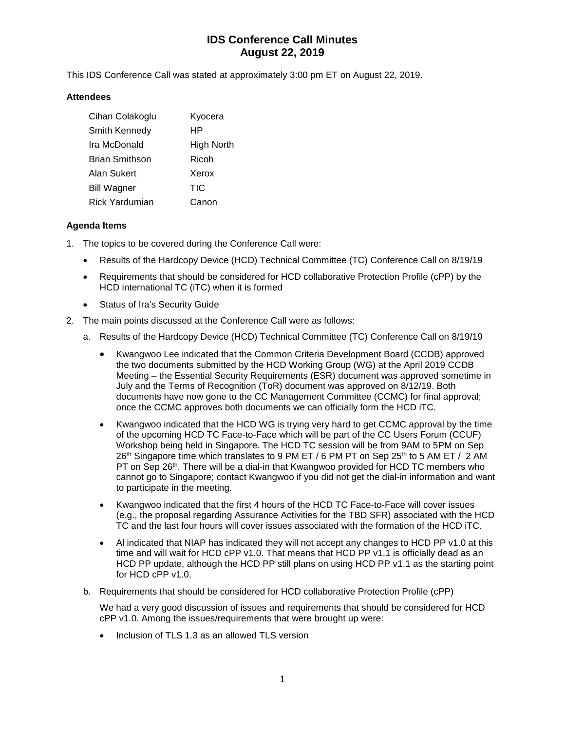# **IDS Conference Call Minutes August 22, 2019**

This IDS Conference Call was stated at approximately 3:00 pm ET on August 22, 2019.

### **Attendees**

| Cihan Colakoglu       | Kyocera    |
|-----------------------|------------|
| Smith Kennedy         | ΗP         |
| Ira McDonald          | High North |
| <b>Brian Smithson</b> | Ricoh      |
| Alan Sukert           | Xerox      |
| <b>Bill Wagner</b>    | <b>TIC</b> |
| Rick Yardumian        | Canon      |

### **Agenda Items**

- 1. The topics to be covered during the Conference Call were:
	- Results of the Hardcopy Device (HCD) Technical Committee (TC) Conference Call on 8/19/19
	- Requirements that should be considered for HCD collaborative Protection Profile (cPP) by the HCD international TC (iTC) when it is formed
	- Status of Ira's Security Guide
- 2. The main points discussed at the Conference Call were as follows:
	- a. Results of the Hardcopy Device (HCD) Technical Committee (TC) Conference Call on 8/19/19
		- Kwangwoo Lee indicated that the Common Criteria Development Board (CCDB) approved the two documents submitted by the HCD Working Group (WG) at the April 2019 CCDB Meeting – the Essential Security Requirements (ESR) document was approved sometime in July and the Terms of Recognition (ToR) document was approved on 8/12/19. Both documents have now gone to the CC Management Committee (CCMC) for final approval; once the CCMC approves both documents we can officially form the HCD iTC.
		- Kwangwoo indicated that the HCD WG is trying very hard to get CCMC approval by the time of the upcoming HCD TC Face-to-Face which will be part of the CC Users Forum (CCUF) Workshop being held in Singapore. The HCD TC session will be from 9AM to 5PM on Sep  $26<sup>th</sup>$  Singapore time which translates to 9 PM ET / 6 PM PT on Sep 25<sup>th</sup> to 5 AM ET / 2 AM PT on Sep 26<sup>th</sup>. There will be a dial-in that Kwangwoo provided for HCD TC members who cannot go to Singapore; contact Kwangwoo if you did not get the dial-in information and want to participate in the meeting.
		- Kwangwoo indicated that the first 4 hours of the HCD TC Face-to-Face will cover issues (e.g., the proposal regarding Assurance Activities for the TBD SFR) associated with the HCD TC and the last four hours will cover issues associated with the formation of the HCD iTC.
		- Al indicated that NIAP has indicated they will not accept any changes to HCD PP v1.0 at this time and will wait for HCD cPP v1.0. That means that HCD PP v1.1 is officially dead as an HCD PP update, although the HCD PP still plans on using HCD PP v1.1 as the starting point for HCD cPP v1.0.
	- b. Requirements that should be considered for HCD collaborative Protection Profile (cPP)

We had a very good discussion of issues and requirements that should be considered for HCD cPP v1.0. Among the issues/requirements that were brought up were:

• Inclusion of TLS 1.3 as an allowed TLS version